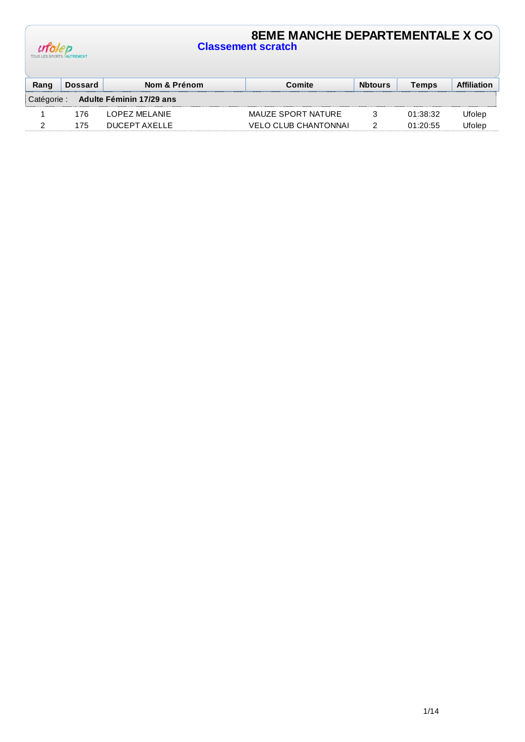| ufolep                          |  |
|---------------------------------|--|
| TOUS LES SPORTS <b>AUTREMEN</b> |  |

## **8EME MANCHE DEPARTEMENTALE X CO Classement scratch**

| Rang        | <b>Dossard</b> | Nom & Prénom             | Comite                      | <b>Nbtours</b> | Temps    | Affiliation  |
|-------------|----------------|--------------------------|-----------------------------|----------------|----------|--------------|
| Catégorie : |                | Adulte Féminin 17/29 ans |                             |                |          |              |
|             | 176            | LOPEZ MELANIE            | MAUZE SPORT NATURE          |                | 01:38:32 | Ufolep       |
|             | 175            | DUCEPT AXELLE            | <b>VELO CLUB CHANTONNAI</b> |                | 01:20:55 | <b>Jeden</b> |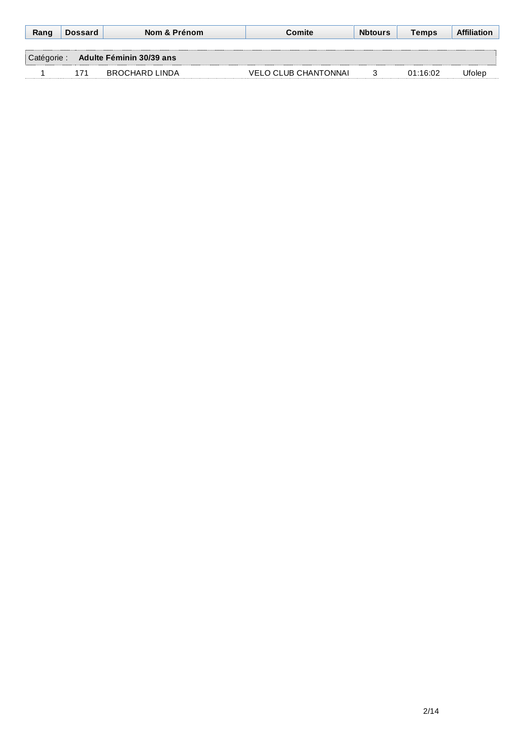|                      | <b>Dossard</b> | Nom & Prénom                    | Comite:                     | <b>Nbtours</b> | Temps    | Affiliation   |
|----------------------|----------------|---------------------------------|-----------------------------|----------------|----------|---------------|
|                      |                |                                 |                             |                |          |               |
| ∣ Catégorie <i>∵</i> |                | <b>Adulte Féminin 30/39 ans</b> |                             |                |          |               |
|                      | 171            | BROCHARD LINDA                  | <b>VELO CLUB CHANTONNAI</b> |                | በ1 16 በ2 | <b>Jfoler</b> |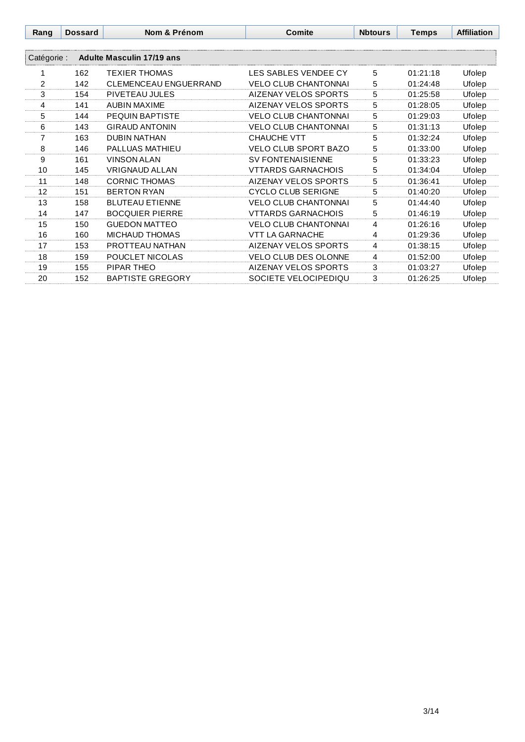| Rang           | <b>Dossard</b> | Nom & Prénom                     | <b>Comite</b>               | <b>Nbtours</b> | <b>Temps</b> | <b>Affiliation</b> |
|----------------|----------------|----------------------------------|-----------------------------|----------------|--------------|--------------------|
|                |                |                                  |                             |                |              |                    |
| Catégorie :    |                | <b>Adulte Masculin 17/19 ans</b> |                             |                |              |                    |
| 1              | 162            | <b>TEXIER THOMAS</b>             | LES SABLES VENDEE CY        | 5              | 01:21:18     | Ufolep             |
| $\overline{2}$ | 142            | <b>CLEMENCEAU ENGUERRAND</b>     | <b>VELO CLUB CHANTONNAI</b> | 5              | 01:24:48     | Ufolep             |
| 3              | 154            | PIVETEAU JULES                   | AIZENAY VELOS SPORTS        | 5              | 01:25:58     | Ufolep             |
| 4              | 141            | <b>AUBIN MAXIME</b>              | AIZENAY VELOS SPORTS        | 5              | 01:28:05     | Ufolep             |
| 5              | 144            | PEQUIN BAPTISTE                  | <b>VELO CLUB CHANTONNAI</b> | 5              | 01:29:03     | Ufolep             |
| 6              | 143            | <b>GIRAUD ANTONIN</b>            | <b>VELO CLUB CHANTONNAI</b> | 5              | 01:31:13     | Ufolep             |
| 7              | 163            | <b>DUBIN NATHAN</b>              | CHAUCHE VTT                 | 5              | 01:32:24     | Ufolep             |
| 8              | 146            | <b>PALLUAS MATHIEU</b>           | <b>VELO CLUB SPORT BAZO</b> | 5              | 01:33:00     | Ufolep             |
| 9              | 161            | <b>VINSON ALAN</b>               | <b>SV FONTENAISIENNE</b>    | 5              | 01:33:23     | Ufolep             |
| 10             | 145            | <b>VRIGNAUD ALLAN</b>            | <b>VTTARDS GARNACHOIS</b>   | 5              | 01:34:04     | Ufolep             |
| 11             | 148            | <b>CORNIC THOMAS</b>             | AIZENAY VELOS SPORTS        | 5              | 01:36:41     | Ufolep             |
| 12             | 151            | <b>BERTON RYAN</b>               | <b>CYCLO CLUB SERIGNE</b>   | 5              | 01:40:20     | Ufolep             |
| 13             | 158            | <b>BLUTEAU ETIENNE</b>           | <b>VELO CLUB CHANTONNAI</b> | 5              | 01:44:40     | Ufolep             |
| 14             | 147            | <b>BOCQUIER PIERRE</b>           | <b>VTTARDS GARNACHOIS</b>   | 5              | 01:46:19     | Ufolep             |
| 15             | 150            | <b>GUEDON MATTEO</b>             | <b>VELO CLUB CHANTONNAI</b> | 4              | 01:26:16     | Ufolep             |
| 16             | 160            | <b>MICHAUD THOMAS</b>            | <b>VTT LA GARNACHE</b>      | 4              | 01:29:36     | Ufolep             |
| 17             | 153            | PROTTEAU NATHAN                  | AIZENAY VELOS SPORTS        | 4              | 01:38:15     | Ufolep             |
| 18             | 159            | POUCLET NICOLAS                  | <b>VELO CLUB DES OLONNE</b> | 4              | 01:52:00     | Ufolep             |
| 19             | 155            | PIPAR THEO                       | AIZENAY VELOS SPORTS        | 3              | 01:03:27     | Ufolep             |
| 20             | 152            | <b>BAPTISTE GREGORY</b>          | SOCIETE VELOCIPEDIQU        | 3              | 01:26:25     | Ufolep             |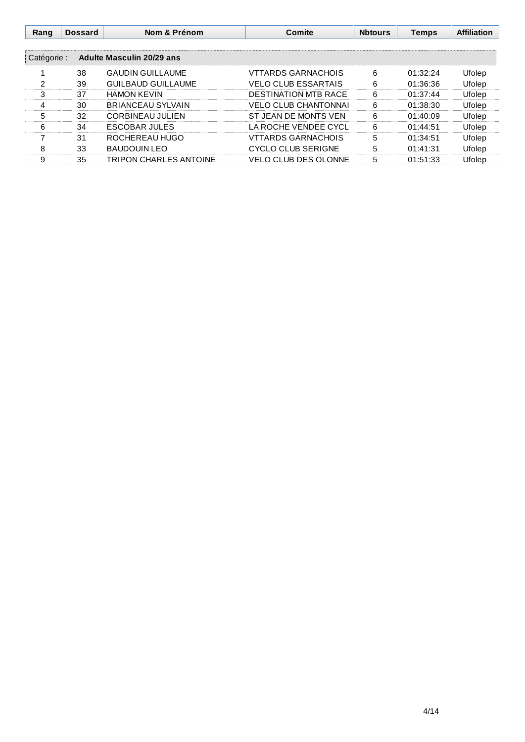| Rang        | <b>Dossard</b> | Nom & Prénom                     | Comite                      | <b>Nbtours</b> | <b>Temps</b> | <b>Affiliation</b> |
|-------------|----------------|----------------------------------|-----------------------------|----------------|--------------|--------------------|
| Catégorie : |                | <b>Adulte Masculin 20/29 ans</b> |                             |                |              |                    |
|             | 38             | <b>GAUDIN GUILLAUME</b>          | <b>VTTARDS GARNACHOIS</b>   | 6              | 01:32:24     | Ufolep             |
| 2           | 39             | <b>GUILBAUD GUILLAUME</b>        | <b>VELO CLUB ESSARTAIS</b>  | 6              | 01:36:36     | Ufolep             |
| 3           | 37             | <b>HAMON KEVIN</b>               | <b>DESTINATION MTB RACE</b> | 6              | 01:37:44     | Ufolep             |
| 4           | 30             | <b>BRIANCEAU SYLVAIN</b>         | <b>VELO CLUB CHANTONNAI</b> | 6              | 01:38:30     | Ufolep             |
| 5           | 32             | CORBINEAU JULIEN                 | ST JEAN DE MONTS VEN        | 6              | 01:40:09     | Ufolep             |
| 6           | 34             | <b>ESCOBAR JULES</b>             | LA ROCHE VENDEE CYCL        | 6              | 01:44:51     | Ufolep             |
|             | 31             | ROCHEREAU HUGO                   | <b>VTTARDS GARNACHOIS</b>   | 5              | 01:34:51     | Ufolep             |
| 8           | 33             | <b>BAUDOUIN LEO</b>              | CYCLO CLUB SERIGNE          | 5              | 01:41:31     | Ufolep             |
| 9           | 35             | <b>TRIPON CHARLES ANTOINE</b>    | <b>VELO CLUB DES OLONNE</b> | 5              | 01:51:33     | Ufolep             |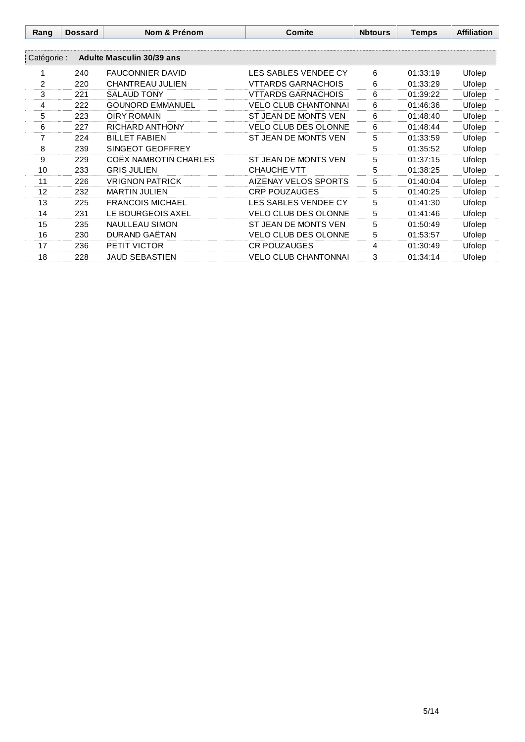| Rang        | <b>Dossard</b> | Nom & Prénom              | <b>Comite</b>               | <b>Nbtours</b> | <b>Temps</b> | <b>Affiliation</b> |
|-------------|----------------|---------------------------|-----------------------------|----------------|--------------|--------------------|
|             |                |                           |                             |                |              |                    |
| Catégorie : |                | Adulte Masculin 30/39 ans |                             |                |              |                    |
|             | 240            | <b>FAUCONNIER DAVID</b>   | LES SABLES VENDEE CY        | 6              | 01:33:19     | Ufolep             |
| 2           | 220            | CHANTREAU JULIEN          | <b>VTTARDS GARNACHOIS</b>   | 6              | 01:33:29     | Ufolep             |
| 3           | 221            | <b>SALAUD TONY</b>        | <b>VTTARDS GARNACHOIS</b>   | 6              | 01:39:22     | Ufolep             |
| 4           | 222            | <b>GOUNORD EMMANUEL</b>   | <b>VELO CLUB CHANTONNAI</b> | 6              | 01:46:36     | Ufolep             |
| 5           | 223            | <b>OIRY ROMAIN</b>        | ST JEAN DE MONTS VEN        | 6              | 01:48:40     | Ufolep             |
| 6           | 227            | <b>RICHARD ANTHONY</b>    | <b>VELO CLUB DES OLONNE</b> | 6              | 01:48:44     | Ufolep             |
| 7           | 224            | <b>BILLET FABIEN</b>      | ST JEAN DE MONTS VEN        | 5              | 01:33:59     | Ufolep             |
| 8           | 239            | SINGEOT GEOFFREY          |                             | 5              | 01:35:52     | Ufolep             |
| 9           | 229            | COËX NAMBOTIN CHARLES     | ST JEAN DE MONTS VEN        | 5              | 01:37:15     | Ufolep             |
| 10          | 233            | <b>GRIS JULIEN</b>        | <b>CHAUCHE VTT</b>          | 5              | 01:38:25     | Ufolep             |
| 11          | 226            | <b>VRIGNON PATRICK</b>    | AIZENAY VELOS SPORTS        | 5              | 01:40:04     | Ufolep             |
| 12          | 232            | <b>MARTIN JULIEN</b>      | <b>CRP POUZAUGES</b>        | 5              | 01:40:25     | Ufolep             |
| 13          | 225            | <b>FRANCOIS MICHAEL</b>   | LES SABLES VENDEE CY        | 5              | 01:41:30     | Ufolep             |
| 14          | 231            | LE BOURGEOIS AXEL         | <b>VELO CLUB DES OLONNE</b> | 5              | 01:41:46     | Ufolep             |
| 15          | 235            | <b>NAULLEAU SIMON</b>     | ST JEAN DE MONTS VEN        | 5              | 01:50:49     | Ufolep             |
| 16          | 230            | DURAND GAËTAN             | <b>VELO CLUB DES OLONNE</b> | 5              | 01:53:57     | Ufolep             |
| 17          | 236            | <b>PETIT VICTOR</b>       | <b>CR POUZAUGES</b>         | 4              | 01:30:49     | Ufolep             |
| 18          | 228            | <b>JAUD SEBASTIEN</b>     | <b>VELO CLUB CHANTONNAI</b> | 3              | 01:34:14     | Ufolep             |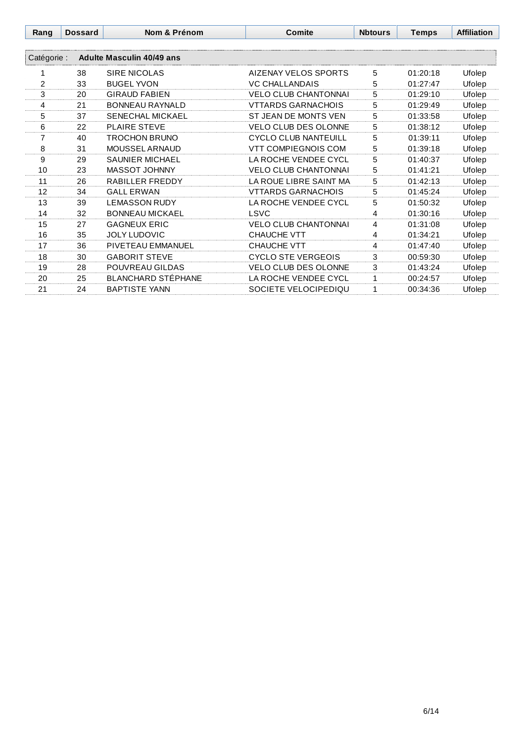| Rang           | <b>Dossard</b> | Nom & Prénom                     | <b>Comite</b>               | <b>Nbtours</b> | <b>Temps</b> | <b>Affiliation</b> |
|----------------|----------------|----------------------------------|-----------------------------|----------------|--------------|--------------------|
|                |                |                                  |                             |                |              |                    |
| Catégorie :    |                | <b>Adulte Masculin 40/49 ans</b> |                             |                |              |                    |
| 1              | 38             | SIRE NICOLAS                     | AIZENAY VELOS SPORTS        | 5              | 01:20:18     | Ufolep             |
| $\overline{2}$ | 33             | <b>BUGEL YVON</b>                | <b>VC CHALLANDAIS</b>       | 5              | 01:27:47     | Ufolep             |
| 3              | 20             | <b>GIRAUD FABIEN</b>             | <b>VELO CLUB CHANTONNAI</b> | 5              | 01:29:10     | Ufolep             |
| 4              | 21             | <b>BONNEAU RAYNALD</b>           | <b>VTTARDS GARNACHOIS</b>   | 5              | 01:29:49     | Ufolep             |
| 5              | 37             | <b>SENECHAL MICKAEL</b>          | ST JEAN DE MONTS VEN        | 5              | 01:33:58     | Ufolep             |
| 6              | 22             | <b>PLAIRE STEVE</b>              | VELO CLUB DES OLONNE        | 5              | 01:38:12     | Ufolep             |
| 7              | 40             | <b>TROCHON BRUNO</b>             | <b>CYCLO CLUB NANTEUILL</b> | 5              | 01:39:11     | Ufolep             |
| 8              | 31             | MOUSSEL ARNAUD                   | <b>VTT COMPIEGNOIS COM</b>  | 5              | 01:39:18     | Ufolep             |
| 9              | 29             | <b>SAUNIER MICHAEL</b>           | LA ROCHE VENDEE CYCL        | 5              | 01:40:37     | Ufolep             |
| 10             | 23             | MASSOT JOHNNY                    | <b>VELO CLUB CHANTONNAI</b> | 5              | 01:41:21     | Ufolep             |
| 11             | 26             | <b>RABILLER FREDDY</b>           | LA ROUE LIBRE SAINT MA      | 5              | 01:42:13     | Ufolep             |
| 12             | 34             | <b>GALL ERWAN</b>                | <b>VTTARDS GARNACHOIS</b>   | 5              | 01:45:24     | Ufolep             |
| 13             | 39             | <b>LEMASSON RUDY</b>             | LA ROCHE VENDEE CYCL        | 5              | 01:50:32     | Ufolep             |
| 14             | 32             | <b>BONNEAU MICKAEL</b>           | LSVC                        | 4              | 01:30:16     | Ufolep             |
| 15             | 27             | <b>GAGNEUX ERIC</b>              | <b>VELO CLUB CHANTONNAI</b> | 4              | 01:31:08     | Ufolep             |
| 16             | 35             | <b>JOLY LUDOVIC</b>              | CHAUCHE VTT                 | 4              | 01:34:21     | Ufolep             |
| 17             | 36             | PIVETEAU EMMANUEL                | <b>CHAUCHE VTT</b>          | 4              | 01:47:40     | Ufolep             |
| 18             | 30             | <b>GABORIT STEVE</b>             | <b>CYCLO STE VERGEOIS</b>   | 3              | 00:59:30     | Ufolep             |
| 19             | 28             | POUVREAU GILDAS                  | VELO CLUB DES OLONNE        | 3              | 01:43:24     | Ufolep             |
| 20             | 25             | <b>BLANCHARD STÉPHANE</b>        | LA ROCHE VENDEE CYCL        | 1              | 00:24:57     | Ufolep             |
| 21             | 24             | <b>BAPTISTE YANN</b>             | SOCIETE VELOCIPEDIQU        | 1              | 00:34:36     | Ufolep             |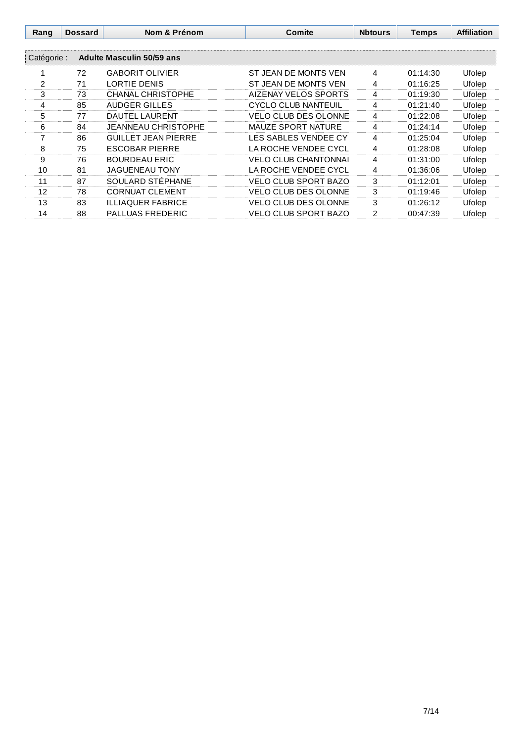| Rang        | <b>Dossard</b> | Nom & Prénom               | Comite                      | <b>Nbtours</b> | <b>Temps</b> | <b>Affiliation</b> |
|-------------|----------------|----------------------------|-----------------------------|----------------|--------------|--------------------|
| Catégorie : |                | Adulte Masculin 50/59 ans  |                             |                |              |                    |
|             | 72             | <b>GABORIT OLIVIER</b>     | ST JEAN DE MONTS VEN        | 4              | 01:14:30     | Ufolep             |
| 2           | 71             | <b>LORTIE DENIS</b>        | ST JEAN DE MONTS VEN        | 4              | 01:16:25     | Ufolep             |
| 3           | 73             | <b>CHANAL CHRISTOPHE</b>   | AIZENAY VELOS SPORTS        | 4              | 01:19:30     | Ufolep             |
| 4           | 85             | AUDGER GILLES              | <b>CYCLO CLUB NANTEUIL</b>  | 4              | 01:21:40     | Ufolep             |
| 5           | 77             | DAUTEL LAURENT             | <b>VELO CLUB DES OLONNE</b> | 4              | 01:22:08     | Ufolep             |
| 6           | 84             | <b>JEANNEAU CHRISTOPHE</b> | <b>MAUZE SPORT NATURE</b>   | 4              | 01:24:14     | Ufolep             |
|             | 86             | <b>GUILLET JEAN PIERRE</b> | LES SABLES VENDEE CY        | 4              | 01:25:04     | Ufolep             |
| 8           | 75             | <b>ESCOBAR PIERRE</b>      | LA ROCHE VENDEE CYCL        | 4              | 01:28:08     | Ufolep             |
| 9           | 76             | <b>BOURDEAU ERIC</b>       | <b>VELO CLUB CHANTONNAI</b> | 4              | 01:31:00     | Ufolep             |
| 10          | 81             | <b>JAGUENEAU TONY</b>      | LA ROCHE VENDEE CYCL        | 4              | 01:36:06     | Ufolep             |
| 11          | 87             | SOULARD STÉPHANE           | <b>VELO CLUB SPORT BAZO</b> | 3              | 01:12:01     | Ufolep             |
| 12          | 78             | <b>CORNUAT CLEMENT</b>     | <b>VELO CLUB DES OLONNE</b> | 3              | 01:19:46     | Ufolep             |
| 13          | 83             | <b>ILLIAQUER FABRICE</b>   | <b>VELO CLUB DES OLONNE</b> | 3              | 01:26:12     | Ufolep             |
| 14          | 88             | <b>PALLUAS FREDERIC</b>    | VELO CLUB SPORT BAZO        | 2              | 00:47:39     | Ufolep             |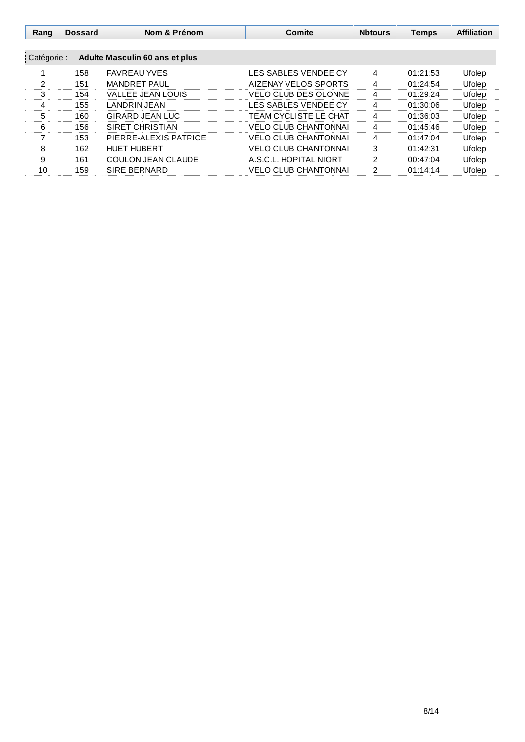| Rang        | <b>Dossard</b> | Nom & Prénom                   | Comite                       | <b>Nbtours</b> | <b>Temps</b> | <b>Affiliation</b> |
|-------------|----------------|--------------------------------|------------------------------|----------------|--------------|--------------------|
|             |                |                                |                              |                |              |                    |
| Catégorie : |                | Adulte Masculin 60 ans et plus |                              |                |              |                    |
|             | 158            | <b>FAVREAU YVES</b>            | LES SABLES VENDEE CY         | 4              | 01:21:53     | Ufolep             |
| 2           | 151            | <b>MANDRET PAUL</b>            | AIZENAY VELOS SPORTS         | 4              | 01:24:54     | Ufolep             |
| 3           | 154            | <b>VALLEE JEAN LOUIS</b>       | <b>VELO CLUB DES OLONNE</b>  | 4              | 01:29:24     | Ufolep             |
| 4           | 155            | LANDRIN JEAN                   | LES SABLES VENDEE CY         | 4              | 01:30:06     | Ufolep             |
| 5           | 160            | <b>GIRARD JEAN LUC</b>         | <b>TEAM CYCLISTE LE CHAT</b> | 4              | 01:36:03     | Ufolep             |
| 6           | 156            | SIRET CHRISTIAN                | <b>VELO CLUB CHANTONNAI</b>  | 4              | 01:45:46     | Ufolep             |
|             | 153            | PIERRE-ALEXIS PATRICE          | <b>VELO CLUB CHANTONNAI</b>  | 4              | 01:47:04     | Ufolep             |
| 8           | 162            | <b>HUET HUBERT</b>             | <b>VELO CLUB CHANTONNAI</b>  | 3              | 01:42:31     | Ufolep             |
| 9           | 161            | COULON JEAN CLAUDE             | A.S.C.L. HOPITAL NIORT       | 2              | 00:47:04     | Ufolep             |
| 10          | 159            | <b>SIRE BERNARD</b>            | <b>VELO CLUB CHANTONNAI</b>  | 2              | 01:14:14     | Ufolep             |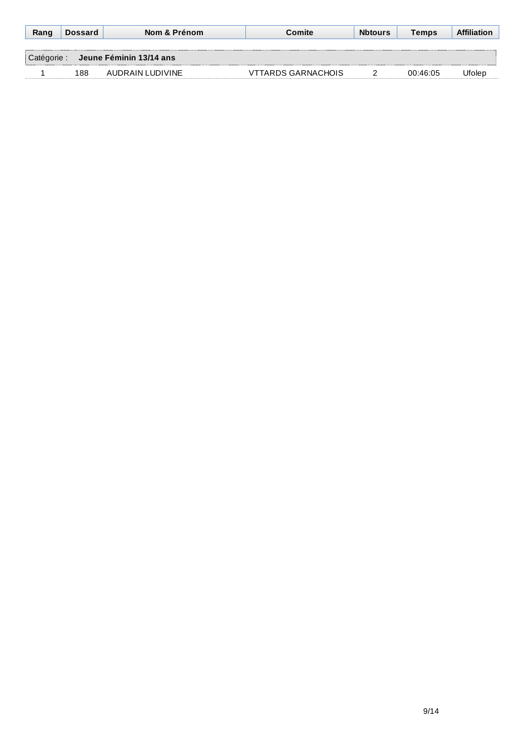| Rang        | <b>Dossard</b> | Nom & Prénom            | Comite                    | <b>Nbtours</b> | Temps    | <b>Affiliation</b> |
|-------------|----------------|-------------------------|---------------------------|----------------|----------|--------------------|
|             |                |                         |                           |                |          |                    |
| Catégorie : |                | Jeune Féminin 13/14 ans |                           |                |          |                    |
|             | 188            | AUDRAIN LUDIVINE        | <b>VTTARDS GARNACHOIS</b> |                | 00:46:05 | Jfoler             |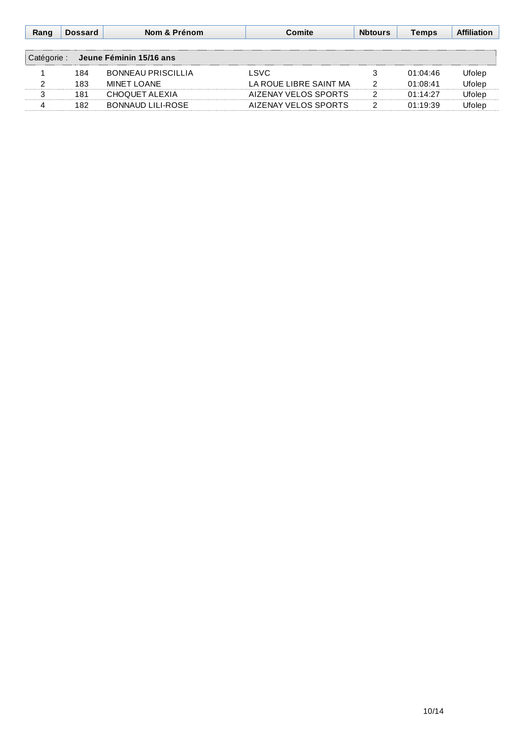| Rang | <b>Dossard</b> | Nom & Prénom              | Comite                 | <b>N</b> btours | Temps    | <b>Affiliation</b> |
|------|----------------|---------------------------|------------------------|-----------------|----------|--------------------|
|      |                |                           |                        |                 |          |                    |
|      |                | Jeune Féminin 15/16 ans   |                        |                 |          |                    |
|      | 184            | <b>BONNEAU PRISCILLIA</b> | LSVC                   |                 | 01:04:46 | Jfolep             |
|      | 183            | MINET LOANE               | LA ROUF LIBRE SAINT MA |                 | 01.08.41 | Ufolen             |
|      | 181            | CHOQUET ALEXIA            | AIZENAY VELOS SPORTS   |                 | 01:14:27 | Jfolep             |
|      | 182            | BONNAUD LILI-ROSE         | AIZENAY VELOS SPORTS   |                 | 01.19.39 | Jfolen             |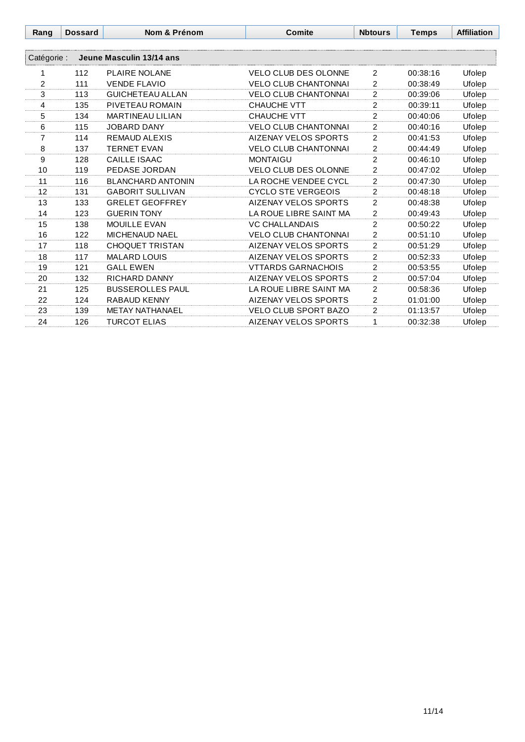| Rang           | <b>Dossard</b> | Nom & Prénom             | <b>Comite</b>               | <b>Nbtours</b> | <b>Temps</b> | <b>Affiliation</b> |
|----------------|----------------|--------------------------|-----------------------------|----------------|--------------|--------------------|
|                |                |                          |                             |                |              |                    |
| Catégorie :    |                | Jeune Masculin 13/14 ans |                             |                |              |                    |
| 1              | 112            | <b>PLAIRE NOLANE</b>     | <b>VELO CLUB DES OLONNE</b> | 2              | 00:38:16     | Ufolep             |
| $\overline{2}$ | 111            | <b>VENDE FLAVIO</b>      | <b>VELO CLUB CHANTONNAI</b> | 2              | 00:38:49     | Ufolep             |
| 3              | 113            | <b>GUICHETEAU ALLAN</b>  | <b>VELO CLUB CHANTONNAI</b> | $\mathfrak{p}$ | 00:39:06     | Ufolep             |
| $\overline{4}$ | 135            | PIVETEAU ROMAIN          | <b>CHAUCHE VTT</b>          | $\overline{2}$ | 00:39:11     | Ufolep             |
| 5              | 134            | <b>MARTINEAU LILIAN</b>  | <b>CHAUCHE VTT</b>          | $\overline{2}$ | 00:40:06     | Ufolep             |
| 6              | 115            | <b>JOBARD DANY</b>       | <b>VELO CLUB CHANTONNAI</b> | $\overline{2}$ | 00:40:16     | Ufolep             |
| $\overline{7}$ | 114            | <b>REMAUD ALEXIS</b>     | <b>AIZENAY VELOS SPORTS</b> | $\overline{2}$ | 00:41:53     | Ufolep             |
| 8              | 137            | <b>TERNET EVAN</b>       | <b>VELO CLUB CHANTONNAI</b> | $\overline{2}$ | 00:44:49     | Ufolep             |
| 9              | 128            | <b>CAILLE ISAAC</b>      | <b>MONTAIGU</b>             | $\overline{2}$ | 00:46:10     | Ufolep             |
| 10             | 119            | PEDASE JORDAN            | <b>VELO CLUB DES OLONNE</b> | $\overline{2}$ | 00:47:02     | Ufolep             |
| 11             | 116            | <b>BLANCHARD ANTONIN</b> | LA ROCHE VENDEE CYCL        | $\overline{2}$ | 00:47:30     | Ufolep             |
| 12             | 131            | <b>GABORIT SULLIVAN</b>  | <b>CYCLO STE VERGEOIS</b>   | $\overline{2}$ | 00:48:18     | Ufolep             |
| 13             | 133            | <b>GRELET GEOFFREY</b>   | AIZENAY VELOS SPORTS        | $\overline{2}$ | 00:48:38     | Ufolep             |
| 14             | 123            | <b>GUERIN TONY</b>       | LA ROUE LIBRE SAINT MA      | $\overline{2}$ | 00:49:43     | Ufolep             |
| 15             | 138            | <b>MOUILLE EVAN</b>      | <b>VC CHALLANDAIS</b>       | $\overline{2}$ | 00:50:22     | Ufolep             |
| 16             | 122            | <b>MICHENAUD NAEL</b>    | <b>VELO CLUB CHANTONNAI</b> | $\overline{2}$ | 00:51:10     | Ufolep             |
| 17             | 118            | <b>CHOQUET TRISTAN</b>   | AIZENAY VELOS SPORTS        | $\overline{2}$ | 00:51:29     | Ufolep             |
| 18             | 117            | <b>MALARD LOUIS</b>      | AIZENAY VELOS SPORTS        | $\overline{2}$ | 00:52:33     | Ufolep             |
| 19             | 121            | <b>GALL EWEN</b>         | <b>VTTARDS GARNACHOIS</b>   | $\overline{2}$ | 00:53:55     | Ufolep             |
| 20             | 132            | <b>RICHARD DANNY</b>     | AIZENAY VELOS SPORTS        | $\overline{2}$ | 00:57:04     | Ufolep             |
| 21             | 125            | <b>BUSSEROLLES PAUL</b>  | LA ROUE LIBRE SAINT MA      | $\overline{2}$ | 00:58:36     | Ufolep             |
| 22             | 124            | RABAUD KENNY             | <b>AIZENAY VELOS SPORTS</b> | $\overline{2}$ | 01:01:00     | Ufolep             |
| 23             | 139            | <b>METAY NATHANAEL</b>   | <b>VELO CLUB SPORT BAZO</b> | $\overline{2}$ | 01:13:57     | Ufolep             |
| 24             | 126            | <b>TURCOT ELIAS</b>      | AIZENAY VELOS SPORTS        | 1              | 00:32:38     | Ufolep             |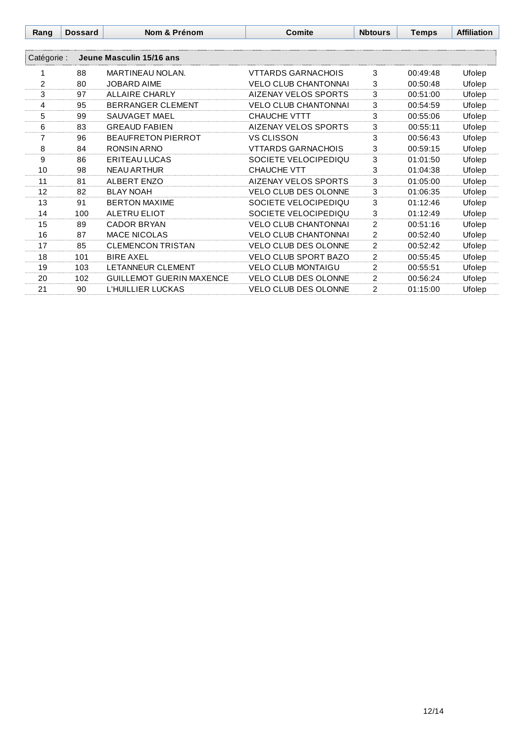| Rang        | <b>Dossard</b> | Nom & Prénom                    | Comite                      | <b>N</b> btours | <b>Temps</b> | <b>Affiliation</b> |
|-------------|----------------|---------------------------------|-----------------------------|-----------------|--------------|--------------------|
|             |                |                                 |                             |                 |              |                    |
| Catégorie : |                | Jeune Masculin 15/16 ans        |                             |                 |              |                    |
|             | 88             | MARTINEAU NOLAN.                | VTTARDS GARNACHOIS          | 3               | 00:49:48     | Ufolep             |
| 2           | 80             | <b>JOBARD AIME</b>              | <b>VELO CLUB CHANTONNAI</b> | 3               | 00:50:48     | Ufolep             |
| 3           | 97             | <b>ALLAIRE CHARLY</b>           | <b>AIZENAY VELOS SPORTS</b> | 3               | 00:51:00     | Ufolep             |
| 4           | 95             | <b>BERRANGER CLEMENT</b>        | <b>VELO CLUB CHANTONNAI</b> | 3               | 00:54:59     | Ufolep             |
| 5           | 99             | <b>SAUVAGET MAEL</b>            | <b>CHAUCHE VTTT</b>         | 3               | 00:55:06     | Ufolep             |
| 6           | 83             | <b>GREAUD FABIEN</b>            | <b>AIZENAY VELOS SPORTS</b> | 3               | 00:55:11     | Ufolep             |
| 7           | 96             | <b>BEAUFRETON PIERROT</b>       | <b>VS CLISSON</b>           | 3               | 00:56:43     | Ufolep             |
| 8           | 84             | RONSIN ARNO                     | VTTARDS GARNACHOIS          | 3               | 00:59:15     | Ufolep             |
| 9           | 86             | ERITEAU LUCAS                   | SOCIETE VELOCIPEDIQU        | 3               | 01:01:50     | Ufolep             |
| 10          | 98             | <b>NEAU ARTHUR</b>              | <b>CHAUCHE VTT</b>          | 3               | 01:04:38     | Ufolep             |
| 11          | 81             | ALBERT ENZO                     | <b>AIZENAY VELOS SPORTS</b> | 3               | 01:05:00     | Ufolep             |
| 12          | 82             | <b>BLAY NOAH</b>                | <b>VELO CLUB DES OLONNE</b> | 3               | 01:06:35     | Ufolep             |
| 13          | 91             | <b>BERTON MAXIME</b>            | SOCIETE VELOCIPEDIQU        | 3               | 01:12:46     | Ufolep             |
| 14          | 100            | ALETRU ELIOT                    | SOCIETE VELOCIPEDIQU        | 3               | 01:12:49     | Ufolep             |
| 15          | 89             | <b>CADOR BRYAN</b>              | <b>VELO CLUB CHANTONNAI</b> | $\overline{c}$  | 00:51:16     | Ufolep             |
| 16          | 87             | <b>MACE NICOLAS</b>             | <b>VELO CLUB CHANTONNAI</b> | $\overline{2}$  | 00:52:40     | Ufolep             |
| 17          | 85             | <b>CLEMENCON TRISTAN</b>        | <b>VELO CLUB DES OLONNE</b> | $\overline{2}$  | 00:52:42     | Ufolep             |
| 18          | 101            | <b>BIRE AXEL</b>                | <b>VELO CLUB SPORT BAZO</b> | $\overline{2}$  | 00:55:45     | Ufolep             |
| 19          | 103            | <b>LETANNEUR CLEMENT</b>        | <b>VELO CLUB MONTAIGU</b>   | $\overline{2}$  | 00:55:51     | Ufolep             |
| 20          | 102            | <b>GUILLEMOT GUERIN MAXENCE</b> | <b>VELO CLUB DES OLONNE</b> | $\overline{c}$  | 00:56:24     | Ufolep             |
| 21          | 90             | L'HUILLIER LUCKAS               | <b>VELO CLUB DES OLONNE</b> | $\overline{c}$  | 01:15:00     | Ufolep             |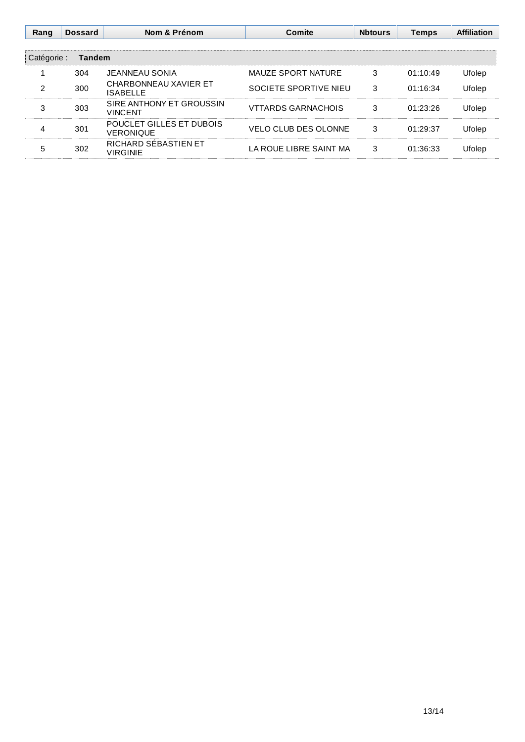| Rang        | <b>Dossard</b> | Nom & Prénom                               | Comite                      | <b>Nbtours</b> | <b>Temps</b> | <b>Affiliation</b> |
|-------------|----------------|--------------------------------------------|-----------------------------|----------------|--------------|--------------------|
| Catégorie : | Tandem         |                                            |                             |                |              |                    |
|             | 304            | JEANNEAU SONIA.                            | MAUZE SPORT NATURE          | 3              | 01:10:49     | Ufolep             |
|             | 300            | CHARBONNEAU XAVIER ET<br><b>ISABELLE</b>   | SOCIETE SPORTIVE NIEU       | 3              | 01:16:34     | Ufolep             |
| 3           | 303            | SIRE ANTHONY ET GROUSSIN<br><b>VINCENT</b> | <b>VTTARDS GARNACHOIS</b>   | 3              | 01:23:26     | Ufolep             |
|             | 301            | POUCLET GILLES ET DUBOIS<br>VERONIQUE      | <b>VELO CLUB DES OLONNE</b> | 3              | 01:29:37     | Ufolep             |
|             | 302            | RICHARD SÉBASTIEN ET<br><b>VIRGINIE</b>    | LA ROUE LIBRE SAINT MA      | 3              | 01:36:33     | <b>Holep</b>       |